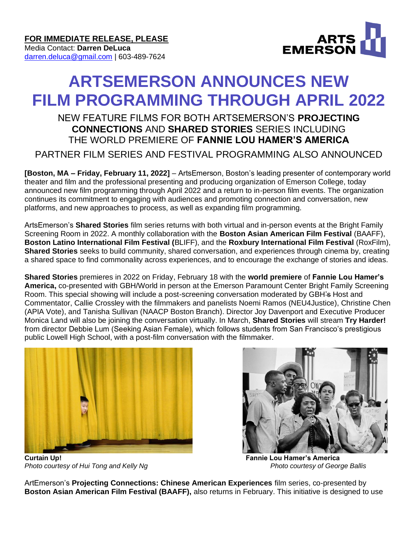

# **ARTSEMERSON ANNOUNCES NEW FILM PROGRAMMING THROUGH APRIL 2022**

# NEW FEATURE FILMS FOR BOTH ARTSEMERSON'S **PROJECTING CONNECTIONS** AND **SHARED STORIES** SERIES INCLUDING THE WORLD PREMIERE OF **FANNIE LOU HAMER'S AMERICA**

PARTNER FILM SERIES AND FESTIVAL PROGRAMMING ALSO ANNOUNCED

**[Boston, MA – Friday, February 11, 2022]** – ArtsEmerson, Boston's leading presenter of contemporary world theater and film and the professional presenting and producing organization of Emerson College, today announced new film programming through April 2022 and a return to in-person film events. The organization continues its commitment to engaging with audiences and promoting connection and conversation, new platforms, and new approaches to process, as well as expanding film programming.

ArtsEmerson's **Shared Stories** film series returns with both virtual and in-person events at the Bright Family Screening Room in 2022. A monthly collaboration with the **Boston Asian American Film Festival** (BAAFF), **Boston Latino International Film Festival (**BLIFF), and the **Roxbury International Film Festival** (RoxFilm), **Shared Stories** seeks to build community, shared conversation, and experiences through cinema by, creating a shared space to find commonality across experiences, and to encourage the exchange of stories and ideas.

**Shared Stories** premieres in 2022 on Friday, February 18 with the **world premiere** of **Fannie Lou Hamer's America,** co-presented with GBH/World in person at the Emerson Paramount Center Bright Family Screening Room. This special showing will include a post-screening conversation moderated by GBH's Host and Commentator, Callie Crossley with the filmmakers and panelists Noemi Ramos (NEU4Justice), Christine Chen (APIA Vote), and Tanisha Sullivan (NAACP Boston Branch). Director Joy Davenport and Executive Producer Monica Land will also be joining the conversation virtually. In March, **Shared Stories** will stream **Try Harder!**  from director Debbie Lum (Seeking Asian Female), which follows students from San Francisco's prestigious public Lowell High School, with a post-film conversation with the filmmaker.







ArtEmerson's **Projecting Connections: Chinese American Experiences** film series, co-presented by **Boston Asian American Film Festival (BAAFF),** also returns in February. This initiative is designed to use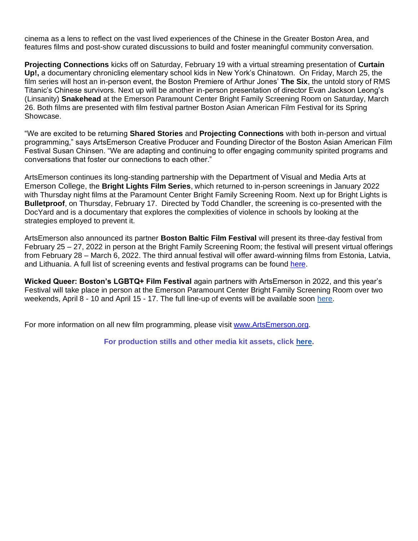cinema as a lens to reflect on the vast lived experiences of the Chinese in the Greater Boston Area, and features films and post-show curated discussions to build and foster meaningful community conversation.

**Projecting Connections** kicks off on Saturday, February 19 with a virtual streaming presentation of **Curtain Up!,** a documentary chronicling elementary school kids in New York's Chinatown. On Friday, March 25, the film series will host an in-person event, the Boston Premiere of Arthur Jones' **The Six**, the untold story of RMS Titanic's Chinese survivors. Next up will be another in-person presentation of director Evan Jackson Leong's (Linsanity) **Snakehead** at the Emerson Paramount Center Bright Family Screening Room on Saturday, March 26. Both films are presented with film festival partner Boston Asian American Film Festival for its Spring Showcase.

"We are excited to be returning **Shared Stories** and **Projecting Connections** with both in-person and virtual programming," says ArtsEmerson Creative Producer and Founding Director of the Boston Asian American Film Festival Susan Chinsen. "We are adapting and continuing to offer engaging community spirited programs and conversations that foster our connections to each other."

ArtsEmerson continues its long-standing partnership with the Department of Visual and Media Arts at Emerson College, the **Bright Lights Film Series**, which returned to in-person screenings in January 2022 with Thursday night films at the Paramount Center Bright Family Screening Room. Next up for Bright Lights is **Bulletproof**, on Thursday, February 17. Directed by Todd Chandler, the screening is co-presented with the DocYard and is a documentary that explores the complexities of violence in schools by looking at the strategies employed to prevent it.

ArtsEmerson also announced its partner **Boston Baltic Film Festival** will present its three-day festival from February 25 – 27, 2022 in person at the Bright Family Screening Room; the festival will present virtual offerings from February 28 – March 6, 2022. The third annual festival will offer award-winning films from Estonia, Latvia, and Lithuania. A full list of screening events and festival programs can be found [here.](https://www.bostonbalticfilm.org/)

**Wicked Queer: Boston's LGBTQ+ Film Festival** again partners with ArtsEmerson in 2022, and this year's Festival will take place in person at the Emerson Paramount Center Bright Family Screening Room over two weekends, April 8 - 10 and April 15 - 17. The full line-up of events will be available soon [here.](https://www.wickedqueer.org/)

For more information on all new film programming, please visit [www.ArtsEmerson.org.](http://www.artsemerson.org/)

**For production stills and other media kit assets, click [here.](https://artsemerson.org/Online/default.asp?BOparam::WScontent::loadArticle::permalink=mediakit-chekhovOS&BOparam::WScontent::loadArticle::context_id=)**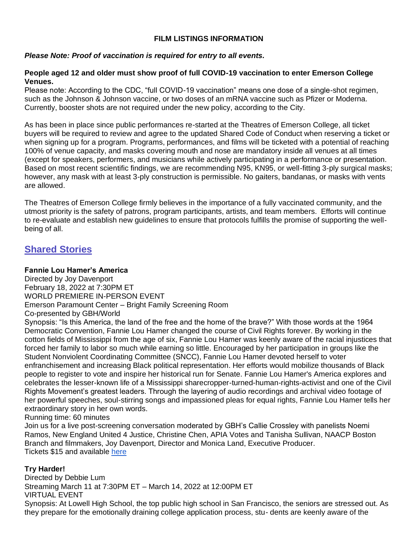# **FILM LISTINGS INFORMATION**

# *Please Note: Proof of vaccination is required for entry to all events.*

#### **People aged 12 and older must show proof of full COVID-19 vaccination to enter Emerson College Venues.**

Please note: According to the CDC, "full COVID-19 vaccination" means one dose of a single-shot regimen, such as the Johnson & Johnson vaccine, or two doses of an mRNA vaccine such as Pfizer or Moderna. Currently, booster shots are not required under the new policy, according to the City.

As has been in place since public performances re-started at the Theatres of Emerson College, all ticket buyers will be required to review and agree to the updated Shared Code of Conduct when reserving a ticket or when signing up for a program. Programs, performances, and films will be ticketed with a potential of reaching 100% of venue capacity, and masks covering mouth and nose are mandatory inside all venues at all times (except for speakers, performers, and musicians while actively participating in a performance or presentation. Based on most recent scientific findings, we are recommending N95, KN95, or well-fitting 3-ply surgical masks; however, any mask with at least 3-ply construction is permissible. No gaiters, bandanas, or masks with vents are allowed.

The Theatres of Emerson College firmly believes in the importance of a fully vaccinated community, and the utmost priority is the safety of patrons, program participants, artists, and team members. Efforts will continue to re-evaluate and establish new guidelines to ensure that protocols fulfills the promise of supporting the wellbeing of all.

# **Shared Stories**

#### **Fannie Lou Hamer's America**

Directed by Joy Davenport February 18, 2022 at 7:30PM ET WORLD PREMIERE IN-PERSON EVENT Emerson Paramount Center – Bright Family Screening Room Co-presented by GBH/World

Synopsis: "Is this America, the land of the free and the home of the brave?" With those words at the 1964 Democratic Convention, Fannie Lou Hamer changed the course of Civil Rights forever. By working in the cotton fields of Mississippi from the age of six, Fannie Lou Hamer was keenly aware of the racial injustices that forced her family to labor so much while earning so little. Encouraged by her participation in groups like the Student Nonviolent Coordinating Committee (SNCC), Fannie Lou Hamer devoted herself to voter enfranchisement and increasing Black political representation. Her efforts would mobilize thousands of Black people to register to vote and inspire her historical run for Senate. Fannie Lou Hamer's America explores and celebrates the lesser-known life of a Mississippi sharecropper-turned-human-rights-activist and one of the Civil Rights Movement's greatest leaders. Through the layering of audio recordings and archival video footage of her powerful speeches, soul-stirring songs and impassioned pleas for equal rights, Fannie Lou Hamer tells her extraordinary story in her own words.

Running time: 60 minutes

Join us for a live post-screening conversation moderated by GBH's Callie Crossley with panelists Noemi Ramos, New England United 4 Justice, Christine Chen, APIA Votes and Tanisha Sullivan, NAACP Boston Branch and filmmakers, Joy Davenport, Director and Monica Land, Executive Producer. Tickets \$15 and available [here](https://artsemerson.org/events/fannie-lou/)

#### **Try Harder!**

Directed by Debbie Lum Streaming March 11 at 7:30PM ET – March 14, 2022 at 12:00PM ET VIRTUAL EVENT

Synopsis: At Lowell High School, the top public high school in San Francisco, the seniors are stressed out. As they prepare for the emotionally draining college application process, stu- dents are keenly aware of the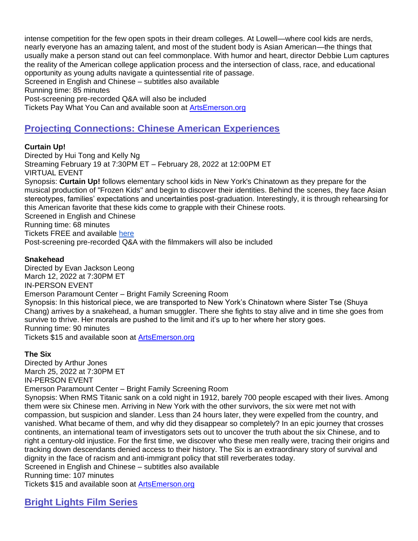intense competition for the few open spots in their dream colleges. At Lowell—where cool kids are nerds, nearly everyone has an amazing talent, and most of the student body is Asian American—the things that usually make a person stand out can feel commonplace. With humor and heart, director Debbie Lum captures the reality of the American college application process and the intersection of class, race, and educational opportunity as young adults navigate a quintessential rite of passage. Screened in English and Chinese – subtitles also available Running time: 85 minutes Post-screening pre-recorded Q&A will also be included Tickets Pay What You Can and available soon at [ArtsEmerson.org](http://artsemerson.org/)

# **Projecting Connections: Chinese American Experiences**

# **Curtain Up!**

Directed by Hui Tong and Kelly Ng Streaming February 19 at 7:30PM ET – February 28, 2022 at 12:00PM ET VIRTUAL EVENT Synopsis: **Curtain Up!** follows elementary school kids in New York's Chinatown as they prepare for the musical production of "Frozen Kids" and begin to discover their identities. Behind the scenes, they face Asian stereotypes, families' expectations and uncertainties post-graduation. Interestingly, it is through rehearsing for this American favorite that these kids come to grapple with their Chinese roots. Screened in English and Chinese Running time: 68 minutes Tickets FREE and available [here](https://artsemerson.org/events/curtain-up/) Post-screening pre-recorded Q&A with the filmmakers will also be included

# **Snakehead**

Directed by Evan Jackson Leong March 12, 2022 at 7:30PM ET IN-PERSON EVENT Emerson Paramount Center – Bright Family Screening Room Synopsis: In this historical piece, we are transported to New York's Chinatown where Sister Tse (Shuya Chang) arrives by a snakehead, a human smuggler. There she fights to stay alive and in time she goes from survive to thrive. Her morals are pushed to the limit and it's up to her where her story goes. Running time: 90 minutes Tickets \$15 and available soon at [ArtsEmerson.org](http://artsemerson.org/)

#### **The Six**

Directed by Arthur Jones March 25, 2022 at 7:30PM ET IN-PERSON EVENT Emerson Paramount Center – Bright Family Screening Room Synopsis: When RMS Titanic sank on a cold night in 1912, barely 700 people escaped with their lives. Among them were six Chinese men. Arriving in New York with the other survivors, the six were met not with compassion, but suspicion and slander. Less than 24 hours later, they were expelled from the country, and vanished. What became of them, and why did they disappear so completely? In an epic journey that crosses continents, an international team of investigators sets out to uncover the truth about the six Chinese, and to right a century-old injustice. For the first time, we discover who these men really were, tracing their origins and tracking down descendants denied access to their history. The Six is an extraordinary story of survival and dignity in the face of racism and anti-immigrant policy that still reverberates today. Screened in English and Chinese – subtitles also available Running time: 107 minutes

Tickets \$15 and available soon at **ArtsEmerson.org** 

**Bright Lights Film Series**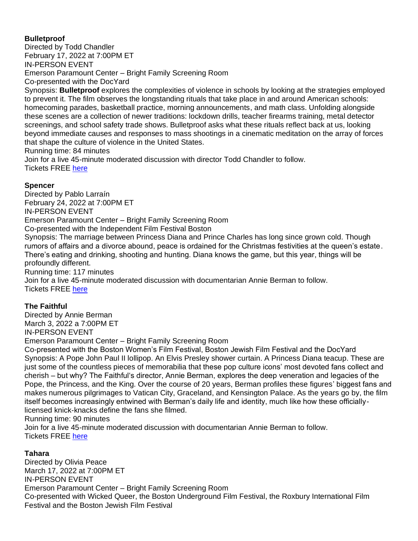# **Bulletproof**

Directed by Todd Chandler February 17, 2022 at 7:00PM ET IN-PERSON EVENT Emerson Paramount Center – Bright Family Screening Room Co-presented with the DocYard

Synopsis: **Bulletproof** explores the complexities of violence in schools by looking at the strategies employed to prevent it. The film observes the longstanding rituals that take place in and around American schools: homecoming parades, basketball practice, morning announcements, and math class. Unfolding alongside these scenes are a collection of newer traditions: lockdown drills, teacher firearms training, metal detector screenings, and school safety trade shows. Bulletproof asks what these rituals reflect back at us, looking beyond immediate causes and responses to mass shootings in a cinematic meditation on the array of forces that shape the culture of violence in the United States.

Running time: 84 minutes

Join for a live 45-minute moderated discussion with director Todd Chandler to follow. Tickets FREE [here](https://artsemerson.org/events/bright-lights-bulletproof/)

# **Spencer**

Directed by Pablo Larraín February 24, 2022 at 7:00PM ET IN-PERSON EVENT Emerson Paramount Center – Bright Family Screening Room Co-presented with the Independent Film Festival Boston Synopsis: The marriage between Princess Diana and Prince Charles has long since grown cold. Though rumors of affairs and a divorce abound, peace is ordained for the Christmas festivities at the queen's estate. There's eating and drinking, shooting and hunting. Diana knows the game, but this year, things will be profoundly different. Running time: 117 minutes Join for a live 45-minute moderated discussion with documentarian Annie Berman to follow. Tickets FREE [here](https://artsemerson.org/events/bright-lights-spencer/)

# **The Faithful**

Directed by Annie Berman March 3, 2022 a 7:00PM ET IN-PERSON EVENT Emerson Paramount Center – Bright Family Screening Room Co-presented with the Boston Women's Film Festival, Boston Jewish Film Festival and the DocYard Synopsis: A Pope John Paul II lollipop. An Elvis Presley shower curtain. A Princess Diana teacup. These are just some of the countless pieces of memorabilia that these pop culture icons' most devoted fans collect and cherish – but why? The Faithful's director, Annie Berman, explores the deep veneration and legacies of the Pope, the Princess, and the King. Over the course of 20 years, Berman profiles these figures' biggest fans and makes numerous pilgrimages to Vatican City, Graceland, and Kensington Palace. As the years go by, the film itself becomes increasingly entwined with Berman's daily life and identity, much like how these officiallylicensed knick-knacks define the fans she filmed.

Running time: 90 minutes

Join for a live 45-minute moderated discussion with documentarian Annie Berman to follow. Tickets FREE [here](https://artsemerson.org/events/bright-lights-faithful/)

# **Tahara**

Directed by Olivia Peace March 17, 2022 at 7:00PM ET IN-PERSON EVENT Emerson Paramount Center – Bright Family Screening Room Co-presented with Wicked Queer, the Boston Underground Film Festival, the Roxbury International Film Festival and the Boston Jewish Film Festival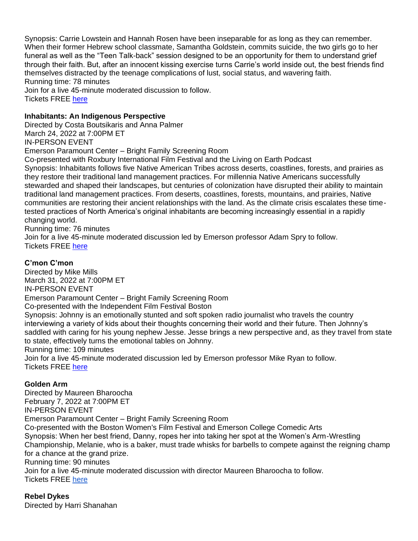Synopsis: Carrie Lowstein and Hannah Rosen have been inseparable for as long as they can remember. When their former Hebrew school classmate, Samantha Goldstein, commits suicide, the two girls go to her funeral as well as the "Teen Talk-back" session designed to be an opportunity for them to understand grief through their faith. But, after an innocent kissing exercise turns Carrie's world inside out, the best friends find themselves distracted by the teenage complications of lust, social status, and wavering faith. Running time: 78 minutes

Join for a live 45-minute moderated discussion to follow. Tickets FREE [here](https://artsemerson.org/events/bright-lights-tahara/)

# **Inhabitants: An Indigenous Perspective**

Directed by Costa Boutsikaris and Anna Palmer March 24, 2022 at 7:00PM ET IN-PERSON EVENT Emerson Paramount Center – Bright Family Screening Room Co-presented with Roxbury International Film Festival and the Living on Earth Podcast Synopsis: Inhabitants follows five Native American Tribes across deserts, coastlines, forests, and prairies as they restore their traditional land management practices. For millennia Native Americans successfully stewarded and shaped their landscapes, but centuries of colonization have disrupted their ability to maintain

traditional land management practices. From deserts, coastlines, forests, mountains, and prairies, Native communities are restoring their ancient relationships with the land. As the climate crisis escalates these timetested practices of North America's original inhabitants are becoming increasingly essential in a rapidly changing world.

Running time: 76 minutes

Join for a live 45-minute moderated discussion led by Emerson professor Adam Spry to follow. Tickets FREE [here](https://artsemerson.org/events/bright-lights-inhabitants/)

# **C'mon C'mon**

Directed by Mike Mills March 31, 2022 at 7:00PM ET IN-PERSON EVENT Emerson Paramount Center – Bright Family Screening Room Co-presented with the Independent Film Festival Boston Synopsis: Johnny is an emotionally stunted and soft spoken radio journalist who travels the country interviewing a variety of kids about their thoughts concerning their world and their future. Then Johnny's saddled with caring for his young nephew Jesse. Jesse brings a new perspective and, as they travel from state to state, effectively turns the emotional tables on Johnny. Running time: 109 minutes Join for a live 45-minute moderated discussion led by Emerson professor Mike Ryan to follow. Tickets FREE [here](https://artsemerson.org/events/bright-lights-cmon-cmon/)

#### **Golden Arm**

Directed by Maureen Bharoocha February 7, 2022 at 7:00PM ET IN-PERSON EVENT Emerson Paramount Center – Bright Family Screening Room Co-presented with the Boston Women's Film Festival and Emerson College Comedic Arts Synopsis: When her best friend, Danny, ropes her into taking her spot at the Women's Arm-Wrestling Championship, Melanie, who is a baker, must trade whisks for barbells to compete against the reigning champ for a chance at the grand prize. Running time: 90 minutes Join for a live 45-minute moderated discussion with director Maureen Bharoocha to follow. Tickets FREE [here](https://artsemerson.org/events/bright-lights-golden-arm/)

# **Rebel Dykes**

Directed by Harri Shanahan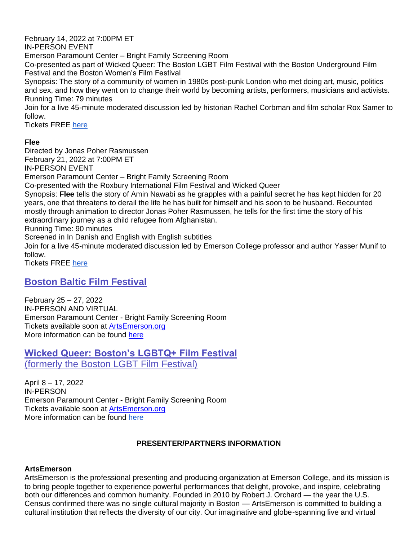February 14, 2022 at 7:00PM ET

IN-PERSON EVENT

Emerson Paramount Center – Bright Family Screening Room

Co-presented as part of Wicked Queer: The Boston LGBT Film Festival with the Boston Underground Film Festival and the Boston Women's Film Festival

Synopsis: The story of a community of women in 1980s post-punk London who met doing art, music, politics and sex, and how they went on to change their world by becoming artists, performers, musicians and activists. Running Time: 79 minutes

Join for a live 45-minute moderated discussion led by historian Rachel Corbman and film scholar Rox Samer to follow.

Tickets FREE [here](https://artsemerson.org/events/bright-lights-rebel-dykes/)

# **Flee**

Directed by Jonas Poher Rasmussen February 21, 2022 at 7:00PM ET IN-PERSON EVENT Emerson Paramount Center – Bright Family Screening Room Co-presented with the Roxbury International Film Festival and Wicked Queer Synopsis: **Flee** tells the story of Amin Nawabi as he grapples with a painful secret he has kept hidden for 20 years, one that threatens to derail the life he has built for himself and his soon to be husband. Recounted mostly through animation to director Jonas Poher Rasmussen, he tells for the first time the story of his extraordinary journey as a child refugee from Afghanistan. Running Time: 90 minutes Screened in In Danish and English with English subtitles Join for a live 45-minute moderated discussion led by Emerson College professor and author Yasser Munif to

follow.

Tickets FREE [here](https://artsemerson.org/events/bright-lights-flee/)

# **Boston Baltic Film Festival**

February 25 – 27, 2022 IN-PERSON AND VIRTUAL Emerson Paramount Center - Bright Family Screening Room Tickets available soon at [ArtsEmerson.org](http://artsemerson.org/) More information can be found [here](https://www.bostonbalticfilm.org/)

**Wicked Queer: Boston's LGBTQ+ Film Festival** (formerly the Boston LGBT Film Festival)

April 8 – 17, 2022 IN-PERSON Emerson Paramount Center - Bright Family Screening Room Tickets available soon at [ArtsEmerson.org](http://artsemerson.org/) More information can be found [here](https://www.wickedqueer.org/)

# **PRESENTER/PARTNERS INFORMATION**

# **ArtsEmerson**

ArtsEmerson is the professional presenting and producing organization at Emerson College, and its mission is to bring people together to experience powerful performances that delight, provoke, and inspire, celebrating both our differences and common humanity. Founded in 2010 by Robert J. Orchard — the year the U.S. Census confirmed there was no single cultural majority in Boston — ArtsEmerson is committed to building a cultural institution that reflects the diversity of our city. Our imaginative and globe-spanning live and virtual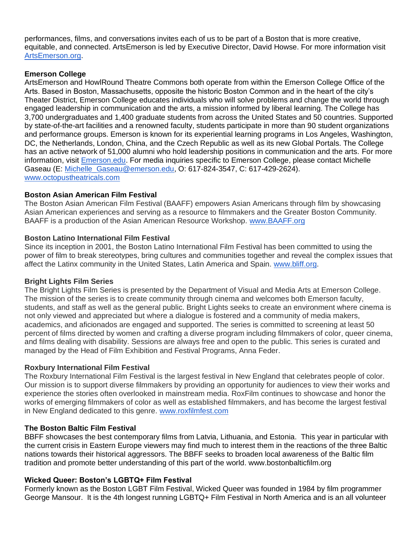performances, films, and conversations invites each of us to be part of a Boston that is more creative, equitable, and connected. ArtsEmerson is led by Executive Director, David Howse. For more information visit [ArtsEmerson.org.](http://artsemerson.org/)

#### **Emerson College**

ArtsEmerson and HowlRound Theatre Commons both operate from within the Emerson College Office of the Arts. Based in Boston, Massachusetts, opposite the historic Boston Common and in the heart of the city's Theater District, Emerson College educates individuals who will solve problems and change the world through engaged leadership in communication and the arts, a mission informed by liberal learning. The College has 3,700 undergraduates and 1,400 graduate students from across the United States and 50 countries. Supported by state-of-the-art facilities and a renowned faculty, students participate in more than 90 student organizations and performance groups. Emerson is known for its experiential learning programs in Los Angeles, Washington, DC, the Netherlands, London, China, and the Czech Republic as well as its new Global Portals. The College has an active network of 51,000 alumni who hold leadership positions in communication and the arts. For more information, visit [Emerson.edu.](http://www.emerson.edu/) For media inquiries specific to Emerson College, please contact Michelle Gaseau (E: [Michelle\\_Gaseau@emerson.edu,](mailto:Michelle_Gaseau@emerson.edu) O: 617-824-3547, C: 617-429-2624). [www.octopustheatricals.com](http://www.octopustheatricals.com/)

#### **Boston Asian American Film Festival**

The Boston Asian American Film Festival (BAAFF) empowers Asian Americans through film by showcasing Asian American experiences and serving as a resource to filmmakers and the Greater Boston Community. BAAFF is a production of the Asian American Resource Workshop. [www.BAAFF.org](http://www.baaff.org/)

#### **Boston Latino International Film Festival**

Since its inception in 2001, the Boston Latino International Film Festival has been committed to using the power of film to break stereotypes, bring cultures and communities together and reveal the complex issues that affect the Latinx community in the United States, Latin America and Spain. [www.bliff.org.](http://www.bliff.org/)

#### **Bright Lights Film Series**

The Bright Lights Film Series is presented by the Department of Visual and Media Arts at Emerson College. The mission of the series is to create community through cinema and welcomes both Emerson faculty, students, and staff as well as the general public. Bright Lights seeks to create an environment where cinema is not only viewed and appreciated but where a dialogue is fostered and a community of media makers, academics, and aficionados are engaged and supported. The series is committed to screening at least 50 percent of films directed by women and crafting a diverse program including filmmakers of color, queer cinema, and films dealing with disability. Sessions are always free and open to the public. This series is curated and managed by the Head of Film Exhibition and Festival Programs, Anna Feder.

#### **Roxbury International Film Festival**

The Roxbury International Film Festival is the largest festival in New England that celebrates people of color. Our mission is to support diverse filmmakers by providing an opportunity for audiences to view their works and experience the stories often overlooked in mainstream media. RoxFilm continues to showcase and honor the works of emerging filmmakers of color as well as established filmmakers, and has become the largest festival in New England dedicated to this genre. [www.roxfilmfest.com](http://www.roxfilmfest.com/)

#### **The Boston Baltic Film Festival**

BBFF showcases the best contemporary films from Latvia, Lithuania, and Estonia. This year in particular with the current crisis in Eastern Europe viewers may find much to interest them in the reactions of the three Baltic nations towards their historical aggressors. The BBFF seeks to broaden local awareness of the Baltic film tradition and promote better understanding of this part of the world. www.bostonbalticfilm.org

#### **Wicked Queer: Boston's LGBTQ+ Film Festival**

Formerly known as the Boston LGBT Film Festival, Wicked Queer was founded in 1984 by film programmer George Mansour. It is the 4th longest running LGBTQ+ Film Festival in North America and is an all volunteer